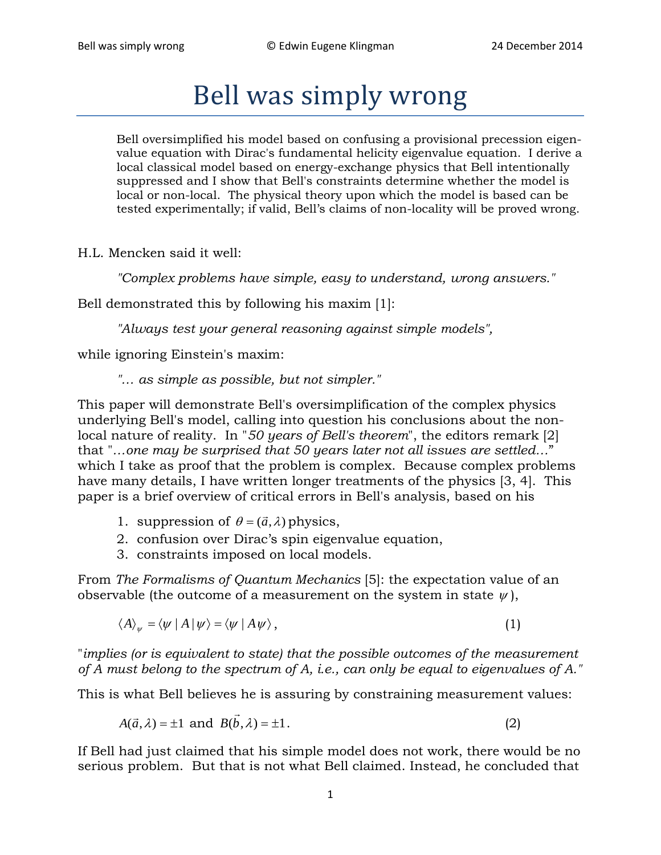## Bell was simply wrong

Bell oversimplified his model based on confusing a provisional precession eigenvalue equation with Dirac's fundamental helicity eigenvalue equation. I derive a local classical model based on energy-exchange physics that Bell intentionally suppressed and I show that Bell's constraints determine whether the model is local or non-local. The physical theory upon which the model is based can be tested experimentally; if valid, Bell's claims of non-locality will be proved wrong.

H.L. Mencken said it well:

*"Complex problems have simple, easy to understand, wrong answers."*

Bell demonstrated this by following his maxim [1]:

*"Always test your general reasoning against simple models",*

while ignoring Einstein's maxim:

*"… as simple as possible, but not simpler."*

This paper will demonstrate Bell's oversimplification of the complex physics underlying Bell's model, calling into question his conclusions about the nonlocal nature of reality. In "*50 years of Bell's theorem*", the editors remark [2] that "*…one may be surprised that 50 years later not all issues are settled…*" which I take as proof that the problem is complex. Because complex problems have many details, I have written longer treatments of the physics [3, 4]. This paper is a brief overview of critical errors in Bell's analysis, based on his

- 1. suppression of  $\theta = (\vec{a}, \lambda)$  physics,
- 2. confusion over Dirac's spin eigenvalue equation,
- 3. constraints imposed on local models.

From *The Formalisms of Quantum Mechanics* [5]: the expectation value of an observable (the outcome of a measurement on the system in state  $\psi$ ),

$$
\langle A \rangle_{\psi} = \langle \psi \mid A \mid \psi \rangle = \langle \psi \mid A \psi \rangle, \tag{1}
$$

"*implies (or is equivalent to state) that the possible outcomes of the measurement of A must belong to the spectrum of A, i.e., can only be equal to eigenvalues of A."*

This is what Bell believes he is assuring by constraining measurement values:

$$
A(\vec{a}, \lambda) = \pm 1 \text{ and } B(\vec{b}, \lambda) = \pm 1.
$$
 (2)

If Bell had just claimed that his simple model does not work, there would be no serious problem. But that is not what Bell claimed. Instead, he concluded that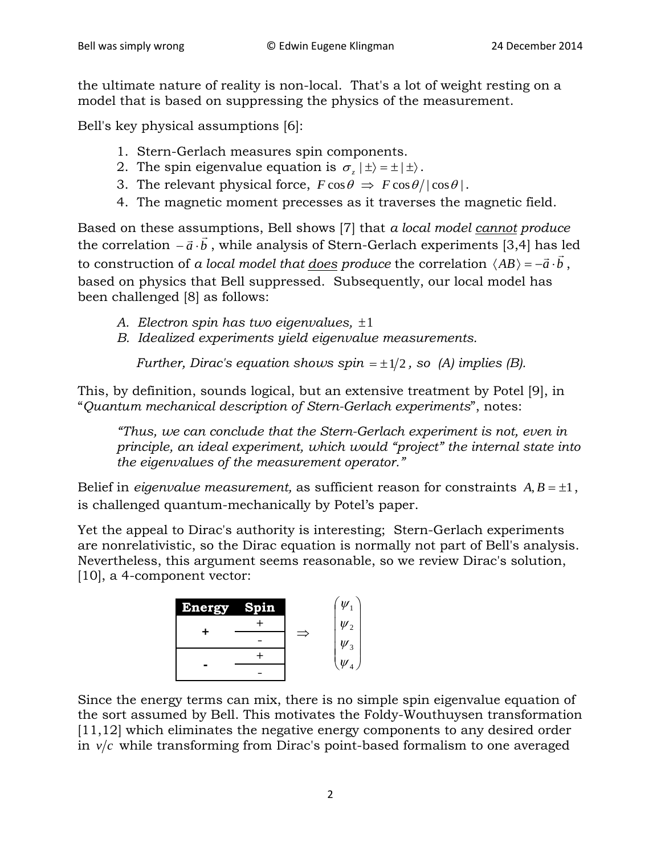the ultimate nature of reality is non-local. That's a lot of weight resting on a model that is based on suppressing the physics of the measurement.

Bell's key physical assumptions [6]:

- 1. Stern-Gerlach measures spin components.
- 2. The spin eigenvalue equation is  $\sigma$ ,  $|\pm\rangle = \pm |\pm\rangle$ .
- 3. The relevant physical force,  $F \cos \theta \Rightarrow F \cos \theta / |\cos \theta|$ .
- 4. The magnetic moment precesses as it traverses the magnetic field.

Based on these assumptions, Bell shows [7] that *a local model cannot produce* the correlation *a b* <sup>−</sup> <sup>⋅</sup> , while analysis of Stern-Gerlach experiments [3,4] has led the correlation  $-a \cdot b$ , while analysis of Stern-German experiments  $[3, \frac{1}{2}]$  has fead to construction of *a local model that <u>does</u> produce* the correlation  $\langle AB \rangle = -\vec{a} \cdot \vec{b}$ , based on physics that Bell suppressed. Subsequently, our local model has been challenged [8] as follows:

- *A. Electron spin has two eigenvalues,* ±1
- *B. Idealized experiments yield eigenvalue measurements.*

*Further, Dirac's equation shows spin*  $= \pm 1/2$ , so (A) *implies (B)*.

This, by definition, sounds logical, but an extensive treatment by Potel [9], in "*Quantum mechanical description of Stern-Gerlach experiments*", notes:

*"Thus, we can conclude that the Stern-Gerlach experiment is not, even in principle, an ideal experiment, which would "project" the internal state into the eigenvalues of the measurement operator."*

Belief in *eigenvalue measurement*, as sufficient reason for constraints  $A, B = \pm 1$ , is challenged quantum-mechanically by Potel's paper.

Yet the appeal to Dirac's authority is interesting; Stern-Gerlach experiments are nonrelativistic, so the Dirac equation is normally not part of Bell's analysis. Nevertheless, this argument seems reasonable, so we review Dirac's solution, [10], a 4-component vector:

| <b>Energy</b> | Spin |  | $\psi$       |
|---------------|------|--|--------------|
|               |      |  | $\psi_2$     |
|               |      |  | $\psi_3$     |
|               |      |  | $\mathbf{W}$ |
|               |      |  |              |

Since the energy terms can mix, there is no simple spin eigenvalue equation of the sort assumed by Bell. This motivates the Foldy-Wouthuysen transformation [11,12] which eliminates the negative energy components to any desired order in  $v/c$  while transforming from Dirac's point-based formalism to one averaged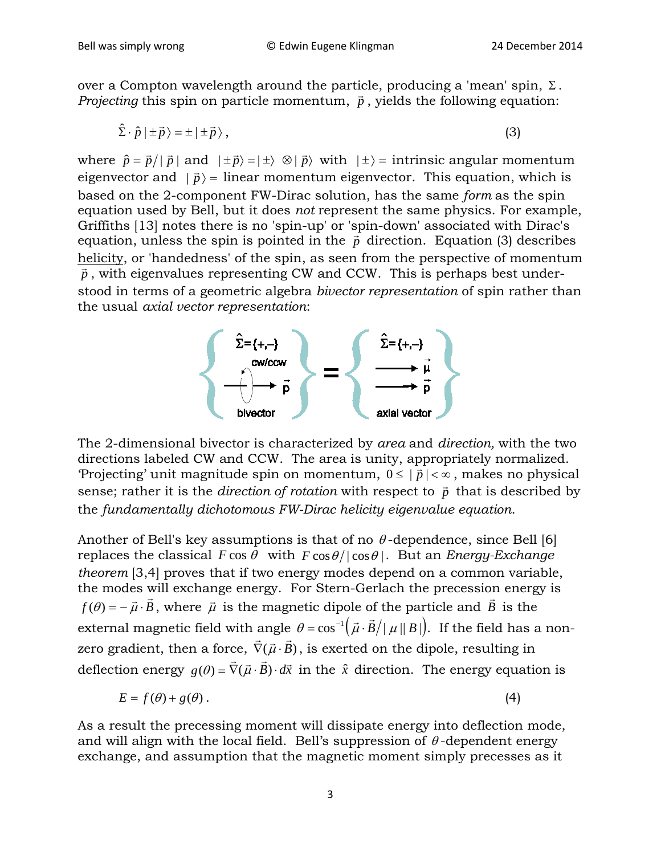over a Compton wavelength around the particle, producing a 'mean' spin,  $\Sigma$ . *Projecting* this spin on particle momentum,  $\vec{p}$ , yields the following equation:

$$
\hat{\Sigma} \cdot \hat{p} \mid \pm \vec{p} \rangle = \pm \mid \pm \vec{p} \rangle \,, \tag{3}
$$

where  $\hat{p} = \vec{p} / |\vec{p}|$  and  $|\pm \vec{p} \rangle = |\pm \rangle \otimes |\vec{p} \rangle$  with  $|\pm \rangle =$  intrinsic angular momentum eigenvector and  $|\vec{p}\rangle$  = linear momentum eigenvector. This equation, which is based on the 2-component FW-Dirac solution, has the same *form* as the spin equation used by Bell, but it does *not* represent the same physics. For example, Griffiths [13] notes there is no 'spin-up' or 'spin-down' associated with Dirac's equation, unless the spin is pointed in the  $\vec{p}$  direction. Equation (3) describes helicity, or 'handedness' of the spin, as seen from the perspective of momentum  $\frac{\overline{p}}{\overline{p}}$ , with eigenvalues representing CW and CCW. This is perhaps best understood in terms of a geometric algebra *bivector representation* of spin rather than the usual *axial vector representation*:



The 2-dimensional bivector is characterized by *area* and *direction,* with the two directions labeled CW and CCW. The area is unity, appropriately normalized. 'Projecting' unit magnitude spin on momentum,  $0 \le |\vec{p}| < \infty$ , makes no physical sense; rather it is the *direction of rotation* with respect to  $\vec{p}$  that is described by the *fundamentally dichotomous FW-Dirac helicity eigenvalue equation*.

Another of Bell's key assumptions is that of no  $\theta$ -dependence, since Bell [6] replaces the classical  $F \cos \theta$  with  $F \cos \theta / |\cos \theta|$ . But an *Energy-Exchange theorem* [3,4] proves that if two energy modes depend on a common variable, the modes will exchange energy. For Stern-Gerlach the precession energy is *f*( $\theta$ ) =  $-\vec{\mu} \cdot \vec{B}$ , where  $\vec{\mu}$  is the magnetic dipole of the particle and  $\vec{B}$  is the external magnetic field with angle  $\theta = \cos^{-1}(\vec{\mu} \cdot \vec{B} / |\vec{\mu}| |B|)$ . If the field has a nonzero gradient, then a force,  $\nabla (\vec{\mu} \cdot \vec{B})$  $\vec{r}$  $\nabla(\vec{\mu} \cdot \vec{B})$ , is exerted on the dipole, resulting in deflection energy  $g(\theta) = \nabla(\vec{\mu} \cdot \vec{B}) \cdot d\vec{x}$  $\vec{r}$  $\nabla(\vec{\mu} \cdot \vec{B}) \cdot d\vec{x}$  in the  $\hat{x}$  direction. The energy equation is

$$
E = f(\theta) + g(\theta). \tag{4}
$$

As a result the precessing moment will dissipate energy into deflection mode, and will align with the local field. Bell's suppression of  $\theta$ -dependent energy exchange, and assumption that the magnetic moment simply precesses as it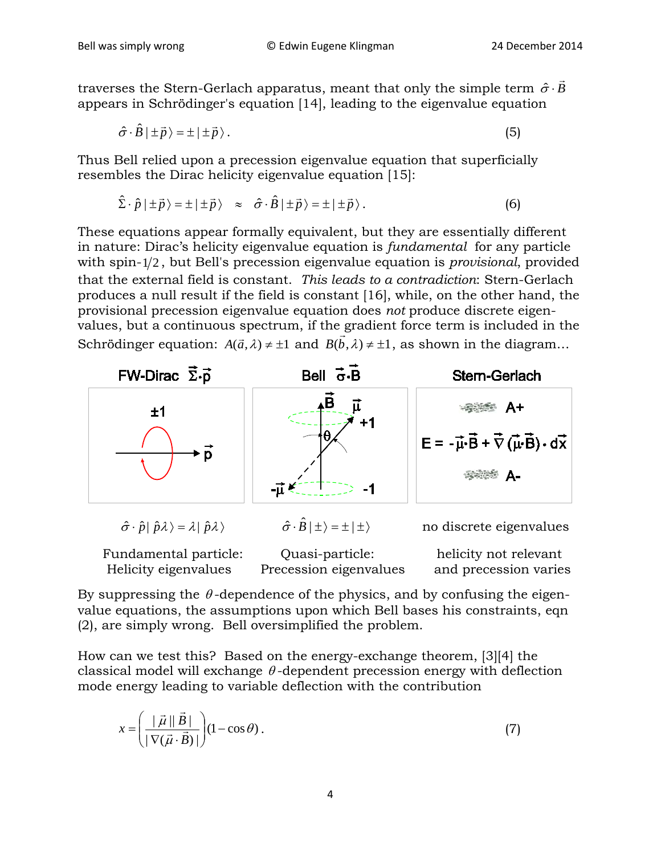traverses the Stern-Gerlach apparatus, meant that only the simple term  $\hat{\sigma}\cdot B$  $\rightarrow$  $\hat{\sigma} \cdot$ appears in Schrödinger's equation [14], leading to the eigenvalue equation

$$
\hat{\sigma} \cdot \hat{B} \mid \pm \vec{p} \rangle = \pm \mid \pm \vec{p} \rangle. \tag{5}
$$

Thus Bell relied upon a precession eigenvalue equation that superficially resembles the Dirac helicity eigenvalue equation [15]:

$$
\hat{\Sigma} \cdot \hat{p} | \pm \vec{p} \rangle = \pm | \pm \vec{p} \rangle \approx \hat{\sigma} \cdot \hat{B} | \pm \vec{p} \rangle = \pm | \pm \vec{p} \rangle. \tag{6}
$$

These equations appear formally equivalent, but they are essentially different in nature: Dirac's helicity eigenvalue equation is *fundamental* for any particle with spin-1/2, but Bell's precession eigenvalue equation is *provisional*, provided that the external field is constant. *This leads to a contradiction*: Stern-Gerlach produces a null result if the field is constant [16], while, on the other hand, the provisional precession eigenvalue equation does *not* produce discrete eigenvalues, but a continuous spectrum, if the gradient force term is included in the Schrödinger equation:  $A(\vec{a}, \lambda) \neq \pm 1$  and  $B(\vec{b}, \lambda) \neq \pm 1$ , as shown in the diagram...



Helicity eigenvalues Precession eigenvalues and precession varies

By suppressing the  $\theta$ -dependence of the physics, and by confusing the eigenvalue equations, the assumptions upon which Bell bases his constraints, eqn (2), are simply wrong. Bell oversimplified the problem.

How can we test this? Based on the energy-exchange theorem, [3][4] the classical model will exchange  $\theta$ -dependent precession energy with deflection mode energy leading to variable deflection with the contribution

$$
x = \left(\frac{\mid \vec{\mu} \mid \vec{B} \mid}{\mid \nabla(\vec{\mu} \cdot \vec{B}) \mid}\right) (1 - \cos \theta). \tag{7}
$$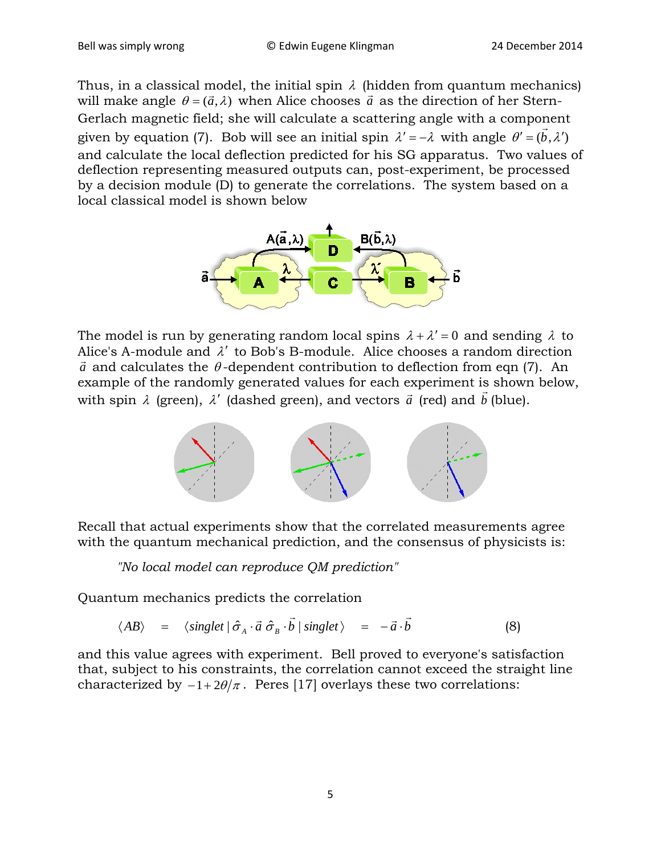Thus, in a classical model, the initial spin  $\lambda$  (hidden from quantum mechanics) will make angle  $\theta = (\vec{a}, \lambda)$  when Alice chooses  $\vec{a}$  as the direction of her Stern-Gerlach magnetic field; she will calculate a scattering angle with a component given by equation (7). Bob will see an initial spin  $\lambda' = -\lambda$  with angle  $\theta' = (\bar{b}, \lambda')$ and calculate the local deflection predicted for his SG apparatus. Two values of deflection representing measured outputs can, post-experiment, be processed by a decision module (D) to generate the correlations. The system based on a local classical model is shown below



The model is run by generating random local spins  $\lambda + \lambda' = 0$  and sending  $\lambda$  to Alice's A-module and  $\lambda'$  to Bob's B-module. Alice chooses a random direction  $\vec{a}$  and calculates the  $\theta$ -dependent contribution to deflection from eqn (7). An example of the randomly generated values for each experiment is shown below,  $\alpha$  cxample of the randomly generated values for each experiment is<br>with spin  $\lambda$  (green),  $\lambda'$  (dashed green), and vectors  $\vec{a}$  (red) and  $\vec{b}$ (blue).



Recall that actual experiments show that the correlated measurements agree with the quantum mechanical prediction, and the consensus of physicists is:

*"No local model can reproduce QM prediction"*

Quantum mechanics predicts the correlation

$$
\langle AB \rangle = \langle singlet | \hat{\sigma}_A \cdot \vec{a} \hat{\sigma}_B \cdot \vec{b} | singlet \rangle = -\vec{a} \cdot \vec{b}
$$
 (8)

and this value agrees with experiment. Bell proved to everyone's satisfaction that, subject to his constraints, the correlation cannot exceed the straight line characterized by  $-1+2\theta/\pi$ . Peres [17] overlays these two correlations: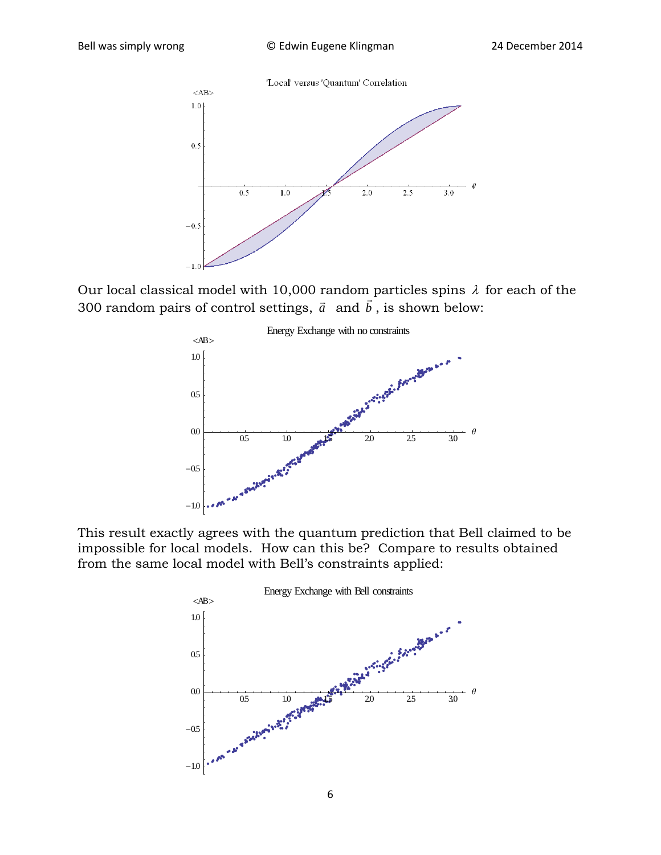

Our local classical model with 10,000 random particles spins  $\lambda$  for each of the 300 random pairs of control settings,  $\vec{a}$  and  $\vec{b}$ , is shown below:



This result exactly agrees with the quantum prediction that Bell claimed to be impossible for local models. How can this be? Compare to results obtained from the same local model with Bell's constraints applied:

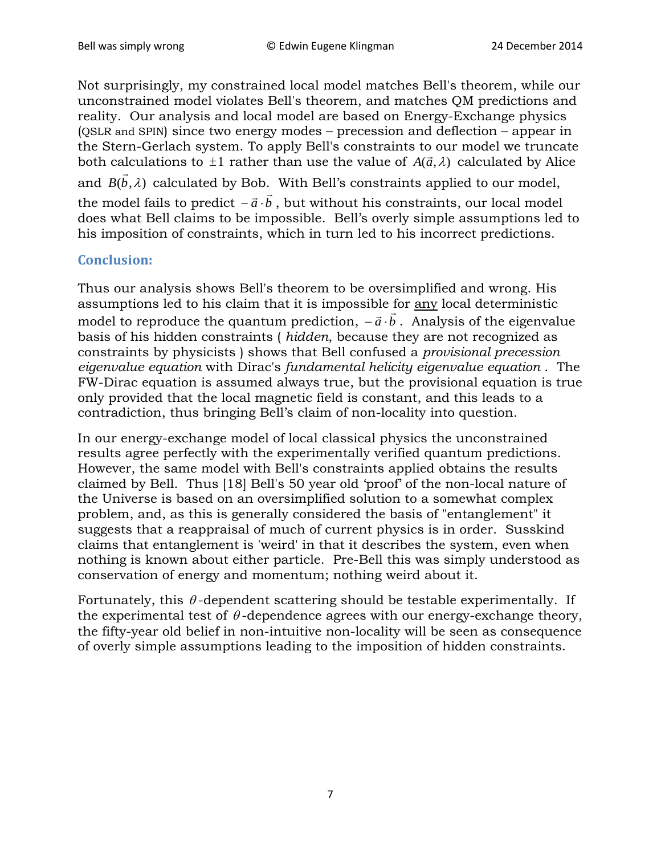Not surprisingly, my constrained local model matches Bell's theorem, while our unconstrained model violates Bell's theorem, and matches QM predictions and reality. Our analysis and local model are based on Energy-Exchange physics (QSLR and SPIN) since two energy modes – precession and deflection – appear in the Stern-Gerlach system. To apply Bell's constraints to our model we truncate both calculations to  $\pm 1$  rather than use the value of  $A(\vec{a}, \lambda)$  calculated by Alice and  $B(\vec{b},\lambda)$  calculated by Bob. With Bell's constraints applied to our model, the model fails to predict  $-\vec{a} \cdot \vec{b}$ , but without his constraints, our local model does what Bell claims to be impossible. Bell's overly simple assumptions led to his imposition of constraints, which in turn led to his incorrect predictions.

## **Conclusion:**

Thus our analysis shows Bell's theorem to be oversimplified and wrong. His assumptions led to his claim that it is impossible for any local deterministic assumptions fea to ins claim that it is impossible for <u>any</u> focal deterministic<br>model to reproduce the quantum prediction,  $-\vec{a} \cdot \vec{b}$ . Analysis of the eigenvalue basis of his hidden constraints ( *hidden*, because they are not recognized as constraints by physicists ) shows that Bell confused a *provisional precession eigenvalue equation* with Dirac's *fundamental helicity eigenvalue equation* . The FW-Dirac equation is assumed always true, but the provisional equation is true only provided that the local magnetic field is constant, and this leads to a contradiction, thus bringing Bell's claim of non-locality into question.

In our energy-exchange model of local classical physics the unconstrained results agree perfectly with the experimentally verified quantum predictions. However, the same model with Bell's constraints applied obtains the results claimed by Bell. Thus [18] Bell's 50 year old 'proof' of the non-local nature of the Universe is based on an oversimplified solution to a somewhat complex problem, and, as this is generally considered the basis of "entanglement" it suggests that a reappraisal of much of current physics is in order. Susskind claims that entanglement is 'weird' in that it describes the system, even when nothing is known about either particle. Pre-Bell this was simply understood as conservation of energy and momentum; nothing weird about it.

Fortunately, this  $\theta$ -dependent scattering should be testable experimentally. If the experimental test of  $\theta$ -dependence agrees with our energy-exchange theory, the fifty-year old belief in non-intuitive non-locality will be seen as consequence of overly simple assumptions leading to the imposition of hidden constraints.